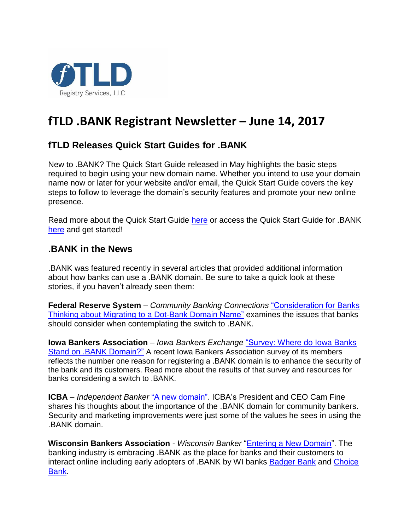

# **fTLD .BANK Registrant Newsletter – June 14, 2017**

## **fTLD Releases Quick Start Guides for .BANK**

New to .BANK? The Quick Start Guide released in May highlights the basic steps required to begin using your new domain name. Whether you intend to use your domain name now or later for your website and/or email, the Quick Start Guide covers the key steps to follow to leverage the domain's security features and promote your new online presence.

Read more about the Quick Start Guide [here](https://www.linkedin.com/hp/update/6270179844831608832) or access the Quick Start Guide for .BANK [here](https://www.register.bank/guide/) and get started!

#### **.BANK in the News**

.BANK was featured recently in several articles that provided additional information about how banks can use a .BANK domain. Be sure to take a quick look at these stories, if you haven't already seen them:

**Federal Reserve System** – *Community Banking Connections* ["Consideration](https://www.linkedin.com/hp/update/6276009264548974592) for Banks Thinking about Migrating to a [Dot-Bank](https://www.linkedin.com/hp/update/6276009264548974592) Domain Name" examines the issues that banks should consider when contemplating the switch to .BANK.

**Iowa Bankers Association** – *Iowa Bankers Exchange* ["Survey:](https://www.linkedin.com/hp/update/6277820223261278208) Where do Iowa Banks Stand on .BANK [Domain?"](https://www.linkedin.com/hp/update/6277820223261278208) A recent Iowa Bankers Association survey of its members reflects the number one reason for registering a .BANK domain is to enhance the security of the bank and its customers. Read more about the results of that survey and resources for banks considering a switch to .BANK.

**ICBA** – *Independent Banker* "A new [domain".](https://www.linkedin.com/hp/update/6267958215456104448) ICBA's President and CEO Cam Fine shares his thoughts about the importance of the .BANK domain for community bankers. Security and marketing improvements were just some of the values he sees in using the .BANK domain.

**Wisconsin Bankers Association** - *Wisconsin Banker* ["Entering a New Domain"](https://www.linkedin.com/hp/update/6268315902329004032). The banking industry is embracing .BANK as the place for banks and their customers to interact online including early adopters of .BANK by WI banks [Badger Bank](https://www.register.bank/docs/Success-Story-Badger-Bank.pdf) and [Choice](https://www.register.bank/docs/Success-Story-Choice-Bank.pdf)  [Bank.](https://www.register.bank/docs/Success-Story-Choice-Bank.pdf)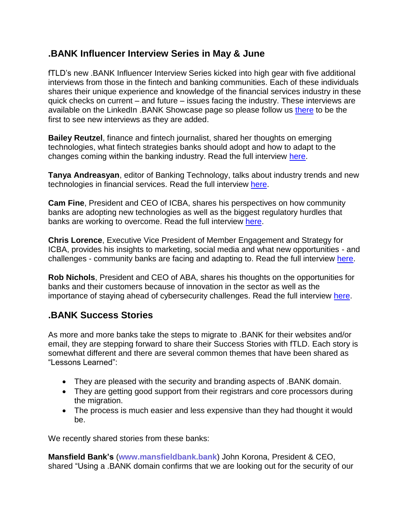### **.BANK Influencer Interview Series in May & June**

fTLD's new .BANK Influencer Interview Series kicked into high gear with five additional interviews from those in the fintech and banking communities. Each of these individuals shares their unique experience and knowledge of the financial services industry in these quick checks on current – and future – issues facing the industry. These interviews are available on the LinkedIn .BANK Showcase page so please follow us [there](https://www.linkedin.com/showcase/11030819/) to be the first to see new interviews as they are added.

**Bailey Reutzel**, finance and fintech journalist, shared her thoughts on emerging technologies, what fintech strategies banks should adopt and how to adapt to the changes coming within the banking industry. Read the full interview [here.](https://www.linkedin.com/hp/update/6267349304793395200)

**Tanya Andreasyan**, editor of Banking Technology, talks about industry trends and new technologies in financial services. Read the full interview [here.](https://www.linkedin.com/hp/update/6270960434627518464)

**Cam Fine**, President and CEO of ICBA, shares his perspectives on how community banks are adopting new technologies as well as the biggest regulatory hurdles that banks are working to overcome. Read the full interview [here.](https://www.linkedin.com/hp/update/6272357087162966016)

**Chris Lorence**, Executive Vice President of Member Engagement and Strategy for ICBA, provides his insights to marketing, social media and what new opportunities - and challenges - community banks are facing and adapting to. Read the full interview [here.](https://www.linkedin.com/hp/update/6275258190657519616)

**Rob Nichols**, President and CEO of ABA, shares his thoughts on the opportunities for banks and their customers because of innovation in the sector as well as the importance of staying ahead of cybersecurity challenges. Read the full interview [here.](https://www.linkedin.com/hp/update/6277460676587847680)

### **.BANK Success Stories**

As more and more banks take the steps to migrate to .BANK for their websites and/or email, they are stepping forward to share their Success Stories with fTLD. Each story is somewhat different and there are several common themes that have been shared as "Lessons Learned":

- They are pleased with the security and branding aspects of .BANK domain.
- They are getting good support from their registrars and core processors during the migration.
- The process is much easier and less expensive than they had thought it would be.

We recently shared stories from these banks:

**Mansfield Bank's** (**[www.mansfieldbank.bank](https://www.mansfieldbank.bank/)**) John Korona, President & CEO, shared "Using a .BANK domain confirms that we are looking out for the security of our